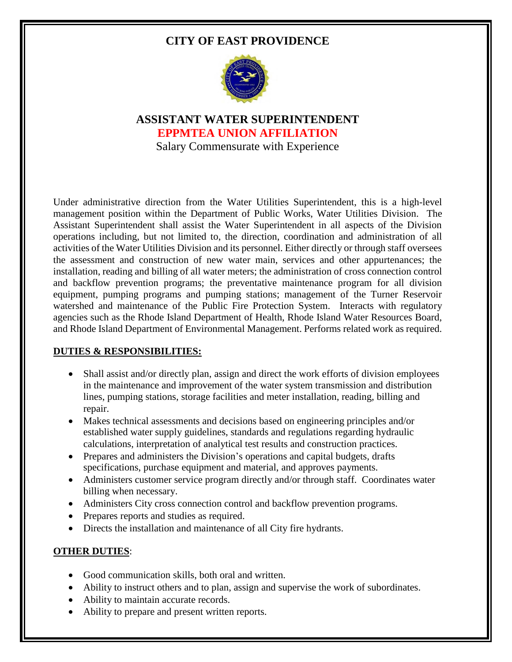# **CITY OF EAST PROVIDENCE**



**ASSISTANT WATER SUPERINTENDENT EPPMTEA UNION AFFILIATION**  Salary Commensurate with Experience

Under administrative direction from the Water Utilities Superintendent, this is a high-level management position within the Department of Public Works, Water Utilities Division. The Assistant Superintendent shall assist the Water Superintendent in all aspects of the Division operations including, but not limited to, the direction, coordination and administration of all activities of the Water Utilities Division and its personnel. Either directly or through staff oversees the assessment and construction of new water main, services and other appurtenances; the installation, reading and billing of all water meters; the administration of cross connection control and backflow prevention programs; the preventative maintenance program for all division equipment, pumping programs and pumping stations; management of the Turner Reservoir watershed and maintenance of the Public Fire Protection System. Interacts with regulatory agencies such as the Rhode Island Department of Health, Rhode Island Water Resources Board, and Rhode Island Department of Environmental Management. Performs related work as required.

### **DUTIES & RESPONSIBILITIES:**

- Shall assist and/or directly plan, assign and direct the work efforts of division employees in the maintenance and improvement of the water system transmission and distribution lines, pumping stations, storage facilities and meter installation, reading, billing and repair.
- Makes technical assessments and decisions based on engineering principles and/or established water supply guidelines, standards and regulations regarding hydraulic calculations, interpretation of analytical test results and construction practices.
- Prepares and administers the Division's operations and capital budgets, drafts specifications, purchase equipment and material, and approves payments.
- Administers customer service program directly and/or through staff. Coordinates water billing when necessary.
- Administers City cross connection control and backflow prevention programs.
- Prepares reports and studies as required.
- Directs the installation and maintenance of all City fire hydrants.

### **OTHER DUTIES**:

- Good communication skills, both oral and written.
- Ability to instruct others and to plan, assign and supervise the work of subordinates.
- Ability to maintain accurate records.
- Ability to prepare and present written reports.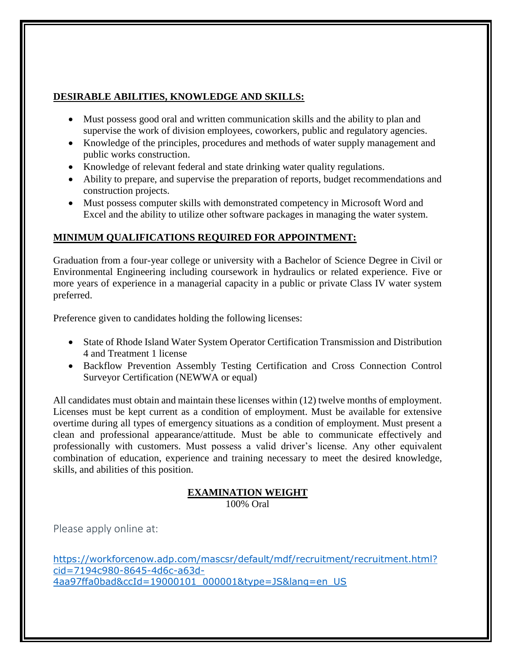### **DESIRABLE ABILITIES, KNOWLEDGE AND SKILLS:**

- Must possess good oral and written communication skills and the ability to plan and supervise the work of division employees, coworkers, public and regulatory agencies.
- Knowledge of the principles, procedures and methods of water supply management and public works construction.
- Knowledge of relevant federal and state drinking water quality regulations.
- Ability to prepare, and supervise the preparation of reports, budget recommendations and construction projects.
- Must possess computer skills with demonstrated competency in Microsoft Word and Excel and the ability to utilize other software packages in managing the water system.

## **MINIMUM QUALIFICATIONS REQUIRED FOR APPOINTMENT:**

Graduation from a four-year college or university with a Bachelor of Science Degree in Civil or Environmental Engineering including coursework in hydraulics or related experience. Five or more years of experience in a managerial capacity in a public or private Class IV water system preferred.

Preference given to candidates holding the following licenses:

- State of Rhode Island Water System Operator Certification Transmission and Distribution 4 and Treatment 1 license
- Backflow Prevention Assembly Testing Certification and Cross Connection Control Surveyor Certification (NEWWA or equal)

All candidates must obtain and maintain these licenses within (12) twelve months of employment. Licenses must be kept current as a condition of employment. Must be available for extensive overtime during all types of emergency situations as a condition of employment. Must present a clean and professional appearance/attitude. Must be able to communicate effectively and professionally with customers. Must possess a valid driver's license. Any other equivalent combination of education, experience and training necessary to meet the desired knowledge, skills, and abilities of this position.

### **EXAMINATION WEIGHT**

100% Oral

Please apply online at:

[https://workforcenow.adp.com/mascsr/default/mdf/recruitment/recruitment.html?](https://workforcenow.adp.com/mascsr/default/mdf/recruitment/recruitment.html?cid=7194c980-8645-4d6c-a63d-4aa97ffa0bad&ccId=19000101_000001&type=JS&lang=en_US) [cid=7194c980-8645-4d6c-a63d-](https://workforcenow.adp.com/mascsr/default/mdf/recruitment/recruitment.html?cid=7194c980-8645-4d6c-a63d-4aa97ffa0bad&ccId=19000101_000001&type=JS&lang=en_US)[4aa97ffa0bad&ccId=19000101\\_000001&type=JS&lang=en\\_US](https://workforcenow.adp.com/mascsr/default/mdf/recruitment/recruitment.html?cid=7194c980-8645-4d6c-a63d-4aa97ffa0bad&ccId=19000101_000001&type=JS&lang=en_US)